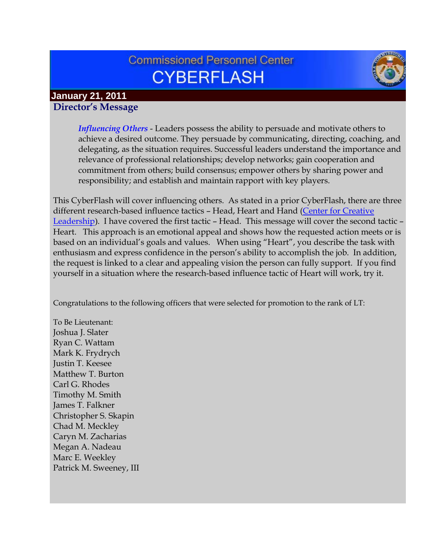# **Commissioned Personnel Center CYBERFLASH**



#### **January 21, 2011 Director's Message**

*Influencing Others* - Leaders possess the ability to persuade and motivate others to achieve a desired outcome. They persuade by communicating, directing, coaching, and delegating, as the situation requires. Successful leaders understand the importance and relevance of professional relationships; develop networks; gain cooperation and commitment from others; build consensus; empower others by sharing power and responsibility; and establish and maintain rapport with key players.

This CyberFlash will cover influencing others. As stated in a prior CyberFlash, there are three different research-based influence tactics – Head, Heart and Hand [\(Center for Creative](http://www.ccl.org/leadership/index.aspx)  [Leadership](http://www.ccl.org/leadership/index.aspx)). I have covered the first tactic – Head. This message will cover the second tactic – Heart. This approach is an emotional appeal and shows how the requested action meets or is based on an individual's goals and values. When using "Heart", you describe the task with enthusiasm and express confidence in the person's ability to accomplish the job. In addition, the request is linked to a clear and appealing vision the person can fully support. If you find yourself in a situation where the research-based influence tactic of Heart will work, try it.

Congratulations to the following officers that were selected for promotion to the rank of LT:

To Be Lieutenant: Joshua J. Slater Ryan C. Wattam Mark K. Frydrych Justin T. Keesee Matthew T. Burton Carl G. Rhodes Timothy M. Smith James T. Falkner Christopher S. Skapin Chad M. Meckley Caryn M. Zacharias Megan A. Nadeau Marc E. Weekley Patrick M. Sweeney, III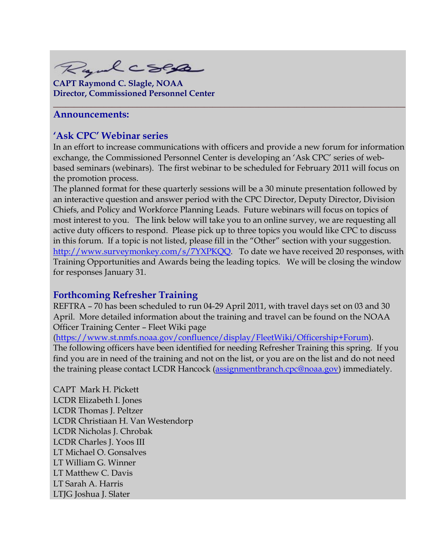Rydcsep

**CAPT Raymond C. Slagle, NOAA Director, Commissioned Personnel Center**

#### **Announcements:**

#### **'Ask CPC' Webinar series**

In an effort to increase communications with officers and provide a new forum for information exchange, the Commissioned Personnel Center is developing an 'Ask CPC' series of webbased seminars (webinars). The first webinar to be scheduled for February 2011 will focus on the promotion process.

**\_\_\_\_\_\_\_\_\_\_\_\_\_\_\_\_\_\_\_\_\_\_\_\_\_\_\_\_\_\_\_\_\_\_\_\_\_\_\_\_\_\_\_\_\_\_\_\_\_\_\_\_\_\_\_\_\_\_\_\_\_\_\_\_\_\_\_\_\_\_\_\_\_\_\_\_\_\_\_\_\_\_\_\_**

The planned format for these quarterly sessions will be a 30 minute presentation followed by an interactive question and answer period with the CPC Director, Deputy Director, Division Chiefs, and Policy and Workforce Planning Leads. Future webinars will focus on topics of most interest to you. The link below will take you to an online survey, we are requesting all active duty officers to respond. Please pick up to three topics you would like CPC to discuss in this forum. If a topic is not listed, please fill in the "Other" section with your suggestion. [http://www.surveymonkey.com/s/7YXPKQQ.](http://www.surveymonkey.com/s/7YXPKQQ) To date we have received 20 responses, with Training Opportunities and Awards being the leading topics. We will be closing the window for responses January 31.

## **Forthcoming Refresher Training**

REFTRA – 70 has been scheduled to run 04-29 April 2011, with travel days set on 03 and 30 April. More detailed information about the training and travel can be found on the NOAA Officer Training Center – Fleet Wiki page

[\(https://www.st.nmfs.noaa.gov/confluence/display/FleetWiki/Officership+Forum\)](https://www.st.nmfs.noaa.gov/confluence/display/FleetWiki/Officership+Forum). The following officers have been identified for needing Refresher Training this spring. If you find you are in need of the training and not on the list, or you are on the list and do not need the training please contact LCDR Hancock [\(assignmentbranch.cpc@noaa.gov\)](mailto:assignmentbranch.cpc@noaa.gov) immediately.

CAPT Mark H. Pickett LCDR Elizabeth I. Jones LCDR Thomas J. Peltzer LCDR Christiaan H. Van Westendorp LCDR Nicholas J. Chrobak LCDR Charles J. Yoos III LT Michael O. Gonsalves LT William G. Winner LT Matthew C. Davis LT Sarah A. Harris LTJG Joshua J. Slater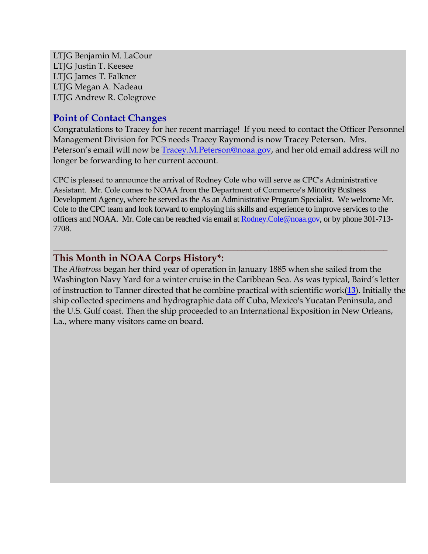LTJG Benjamin M. LaCour LTJG Justin T. Keesee LTJG James T. Falkner LTJG Megan A. Nadeau LTJG Andrew R. Colegrove

## **Point of Contact Changes**

Congratulations to Tracey for her recent marriage! If you need to contact the Officer Personnel Management Division for PCS needs Tracey Raymond is now Tracey Peterson. Mrs. Peterson's email will now be [Tracey.M.Peterson@noaa.gov,](mailto:Tracey.M.Peterson@noaa.gov) and her old email address will no longer be forwarding to her current account.

CPC is pleased to announce the arrival of Rodney Cole who will serve as CPC's Administrative Assistant. Mr. Cole comes to NOAA from the Department of Commerce's Minority Business Development Agency, where he served as the As an Administrative Program Specialist. We welcome Mr. Cole to the CPC team and look forward to employing his skills and experience to improve services to the officers and NOAA. Mr. Cole can be reached via email at **Rodney.Cole@noaa.gov**, or by phone 301-713-7708.

**\_\_\_\_\_\_\_\_\_\_\_\_\_\_\_\_\_\_\_\_\_\_\_\_\_\_\_\_\_\_\_\_\_\_\_\_\_\_\_\_\_\_\_\_\_\_\_\_\_\_\_\_\_\_\_\_\_\_\_\_\_\_\_\_\_\_\_\_\_\_\_\_\_\_\_\_\_\_\_\_\_\_\_\_\_\_\_**

## **This Month in NOAA Corps History\*:**

The *Albatross* began her third year of operation in January 1885 when she sailed from the Washington Navy Yard for a winter cruise in the Caribbean Sea. As was typical, Baird's letter of instruction to Tanner directed that he combine practical with scientific work(**[13](http://www.history.noaa.gov/ships/albatross14.html#13)**). Initially the ship collected specimens and hydrographic data off Cuba, Mexico's Yucatan Peninsula, and the U.S. Gulf coast. Then the ship proceeded to an International Exposition in New Orleans, La., where many visitors came on board.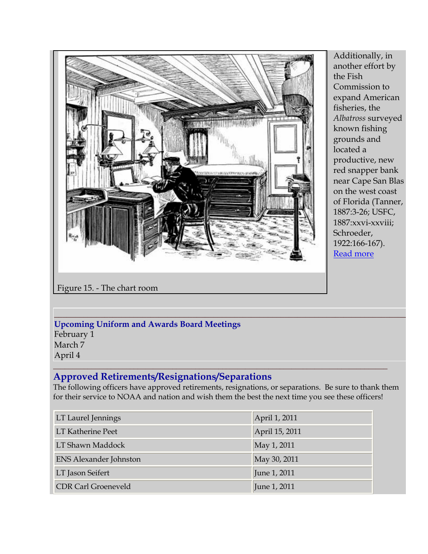

Additionally, in another effort by the Fish Commission to expand American fisheries, the *Albatross* surveyed known fishing grounds and located a productive, new red snapper bank near Cape San Blas on the west coast of Florida (Tanner, 1887:3-26; USFC, 1887:xxvi-xxviii; Schroeder, 1922:166-167). [Read more](http://www.history.noaa.gov/ships/albatross10.html)

Figure 15. - The chart room

#### **\_\_\_\_\_\_\_\_\_\_\_\_\_\_\_\_\_\_\_\_\_\_\_\_\_\_\_\_\_\_\_\_\_\_\_\_\_\_\_\_\_\_\_\_\_\_\_\_\_\_\_\_\_\_\_\_\_\_\_\_\_\_\_\_\_\_\_\_\_\_\_\_\_\_\_\_\_\_\_\_\_\_\_\_ Upcoming Uniform and Awards Board Meetings**

February 1 March 7 April 4

#### **\_\_\_\_\_\_\_\_\_\_\_\_\_\_\_\_\_\_\_\_\_\_\_\_\_\_\_\_\_\_\_\_\_\_\_\_\_\_\_\_\_\_\_\_\_\_\_\_\_\_\_\_\_\_\_\_\_\_\_\_\_\_\_\_\_\_\_\_\_\_\_\_\_\_\_\_\_\_\_\_\_\_\_\_\_\_\_ Approved Retirements/Resignations/Separations**

The following officers have approved retirements, resignations, or separations. Be sure to thank them for their service to NOAA and nation and wish them the best the next time you see these officers!

| LT Laurel Jennings            | April 1, 2011  |
|-------------------------------|----------------|
| <b>LT Katherine Peet</b>      | April 15, 2011 |
| LT Shawn Maddock              | May 1, 2011    |
| <b>ENS Alexander Johnston</b> | May 30, 2011   |
| LT Jason Seifert              | June 1, 2011   |
| <b>CDR Carl Groeneveld</b>    | June 1, 2011   |